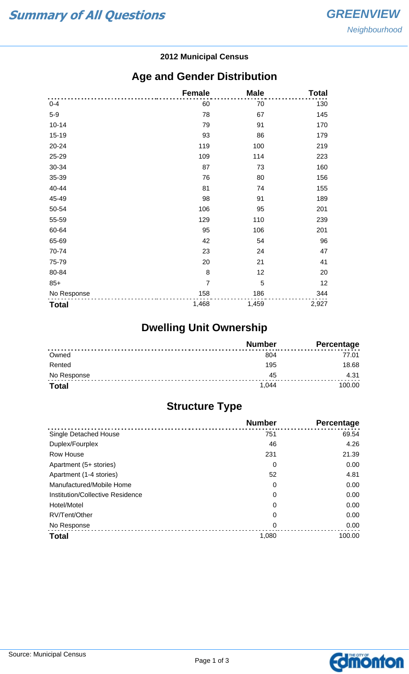#### **2012 Municipal Census**

## **Age and Gender Distribution**

|              | <b>Female</b>  | <b>Male</b> | <b>Total</b> |
|--------------|----------------|-------------|--------------|
| $0 - 4$      | 60             | 70          | 130          |
| $5-9$        | 78             | 67          | 145          |
| $10 - 14$    | 79             | 91          | 170          |
| 15-19        | 93             | 86          | 179          |
| 20-24        | 119            | 100         | 219          |
| 25-29        | 109            | 114         | 223          |
| 30-34        | 87             | 73          | 160          |
| 35-39        | 76             | 80          | 156          |
| 40-44        | 81             | 74          | 155          |
| 45-49        | 98             | 91          | 189          |
| 50-54        | 106            | 95          | 201          |
| 55-59        | 129            | 110         | 239          |
| 60-64        | 95             | 106         | 201          |
| 65-69        | 42             | 54          | 96           |
| 70-74        | 23             | 24          | 47           |
| 75-79        | 20             | 21          | 41           |
| 80-84        | 8              | 12          | 20           |
| $85+$        | $\overline{7}$ | 5           | 12           |
| No Response  | 158            | 186         | 344          |
| <b>Total</b> | 1,468          | 1,459       | 2,927        |

# **Dwelling Unit Ownership**

|              | <b>Number</b> | Percentage |
|--------------|---------------|------------|
| Owned        | 804           | 77.01      |
| Rented       | 195           | 18.68      |
| No Response  | 45            | 4.31       |
| <b>Total</b> | 1.044         | 100.00     |

## **Structure Type**

|                                  | <b>Number</b> | Percentage |
|----------------------------------|---------------|------------|
| <b>Single Detached House</b>     | 751           | 69.54      |
| Duplex/Fourplex                  | 46            | 4.26       |
| Row House                        | 231           | 21.39      |
| Apartment (5+ stories)           | 0             | 0.00       |
| Apartment (1-4 stories)          | 52            | 4.81       |
| Manufactured/Mobile Home         | 0             | 0.00       |
| Institution/Collective Residence | 0             | 0.00       |
| Hotel/Motel                      | 0             | 0.00       |
| RV/Tent/Other                    | 0             | 0.00       |
| No Response                      | 0             | 0.00       |
| <b>Total</b>                     | 1,080         | 100.00     |

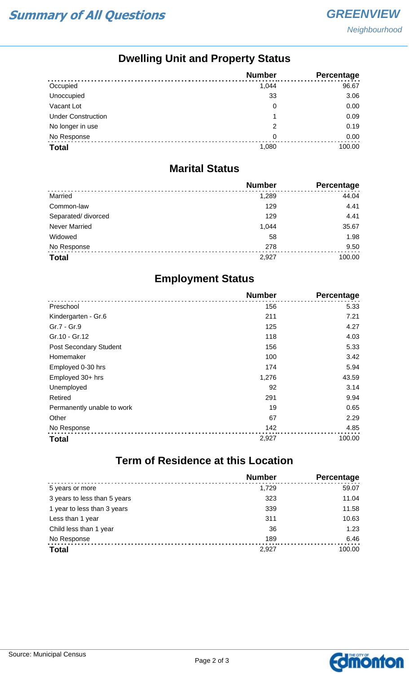## **Dwelling Unit and Property Status**

|                           | <b>Number</b> | <b>Percentage</b> |
|---------------------------|---------------|-------------------|
| Occupied                  | 1,044         | 96.67             |
| Unoccupied                | 33            | 3.06              |
| Vacant Lot                | 0             | 0.00              |
| <b>Under Construction</b> |               | 0.09              |
| No longer in use          | 2             | 0.19              |
| No Response               | 0             | 0.00              |
| <b>Total</b>              | 1,080         | 100.00            |

#### **Marital Status**

|                      | <b>Number</b> | Percentage |
|----------------------|---------------|------------|
| Married              | 1,289         | 44.04      |
| Common-law           | 129           | 4.41       |
| Separated/ divorced  | 129           | 4.41       |
| <b>Never Married</b> | 1,044         | 35.67      |
| Widowed              | 58            | 1.98       |
| No Response          | 278           | 9.50       |
| <b>Total</b>         | 2,927         | 100.00     |

## **Employment Status**

|                            | <b>Number</b> | <b>Percentage</b> |
|----------------------------|---------------|-------------------|
| Preschool                  | 156           | 5.33              |
| Kindergarten - Gr.6        | 211           | 7.21              |
| Gr.7 - Gr.9                | 125           | 4.27              |
| Gr.10 - Gr.12              | 118           | 4.03              |
| Post Secondary Student     | 156           | 5.33              |
| Homemaker                  | 100           | 3.42              |
| Employed 0-30 hrs          | 174           | 5.94              |
| Employed 30+ hrs           | 1,276         | 43.59             |
| Unemployed                 | 92            | 3.14              |
| Retired                    | 291           | 9.94              |
| Permanently unable to work | 19            | 0.65              |
| Other                      | 67            | 2.29              |
| No Response                | 142           | 4.85              |
| <b>Total</b>               | 2,927         | 100.00            |

# **Term of Residence at this Location**

|                              | <b>Number</b> | Percentage |
|------------------------------|---------------|------------|
| 5 years or more              | 1.729         | 59.07      |
| 3 years to less than 5 years | 323           | 11.04      |
| 1 year to less than 3 years  | 339           | 11.58      |
| Less than 1 year             | 311           | 10.63      |
| Child less than 1 year       | 36            | 1.23       |
| No Response                  | 189           | 6.46       |
| <b>Total</b>                 | 2,927         | 100.00     |